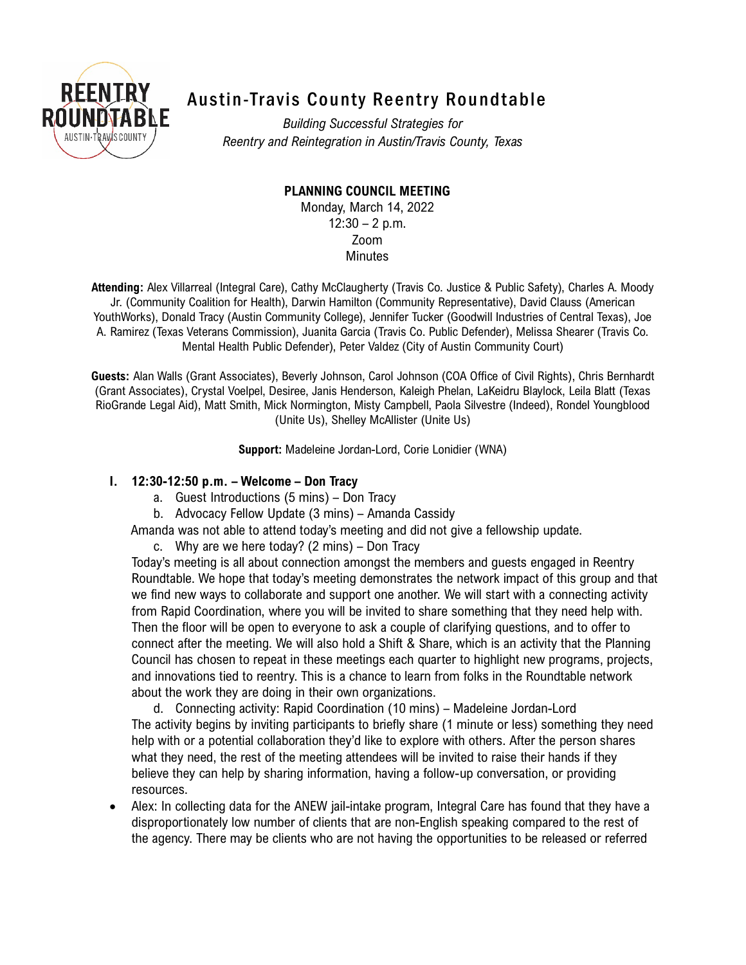

# Austin-Travis County Reentry Roundtable

*Building Successful Strategies for Reentry and Reintegration in Austin/Travis County, Texas*

**PLANNING COUNCIL MEETING**

Monday, March 14, 2022  $12:30 - 2$  p.m. Zoom **Minutes** 

**Attending:** Alex Villarreal (Integral Care), Cathy McClaugherty (Travis Co. Justice & Public Safety), Charles A. Moody Jr. (Community Coalition for Health), Darwin Hamilton (Community Representative), David Clauss (American YouthWorks), Donald Tracy (Austin Community College), Jennifer Tucker (Goodwill Industries of Central Texas), Joe A. Ramirez (Texas Veterans Commission), Juanita Garcia (Travis Co. Public Defender), Melissa Shearer (Travis Co. Mental Health Public Defender), Peter Valdez (City of Austin Community Court)

**Guests:** Alan Walls (Grant Associates), Beverly Johnson, Carol Johnson (COA Office of Civil Rights), Chris Bernhardt (Grant Associates), Crystal Voelpel, Desiree, Janis Henderson, Kaleigh Phelan, LaKeidru Blaylock, Leila Blatt (Texas RioGrande Legal Aid), Matt Smith, Mick Normington, Misty Campbell, Paola Silvestre (Indeed), Rondel Youngblood (Unite Us), Shelley McAllister (Unite Us)

**Support:** Madeleine Jordan-Lord, Corie Lonidier (WNA)

## **I. 12:30-12:50 p.m. – Welcome – Don Tracy**

- a. Guest Introductions (5 mins) Don Tracy
- b. Advocacy Fellow Update (3 mins) Amanda Cassidy

Amanda was not able to attend today's meeting and did not give a fellowship update.

c. Why are we here today? (2 mins) – Don Tracy

Today's meeting is all about connection amongst the members and guests engaged in Reentry Roundtable. We hope that today's meeting demonstrates the network impact of this group and that we find new ways to collaborate and support one another. We will start with a connecting activity from Rapid Coordination, where you will be invited to share something that they need help with. Then the floor will be open to everyone to ask a couple of clarifying questions, and to offer to connect after the meeting. We will also hold a Shift & Share, which is an activity that the Planning Council has chosen to repeat in these meetings each quarter to highlight new programs, projects, and innovations tied to reentry. This is a chance to learn from folks in the Roundtable network about the work they are doing in their own organizations.

d. Connecting activity: Rapid Coordination (10 mins) – Madeleine Jordan-Lord The activity begins by inviting participants to briefly share (1 minute or less) something they need help with or a potential collaboration they'd like to explore with others. After the person shares what they need, the rest of the meeting attendees will be invited to raise their hands if they believe they can help by sharing information, having a follow-up conversation, or providing resources.

• Alex: In collecting data for the ANEW jail-intake program, Integral Care has found that they have a disproportionately low number of clients that are non-English speaking compared to the rest of the agency. There may be clients who are not having the opportunities to be released or referred